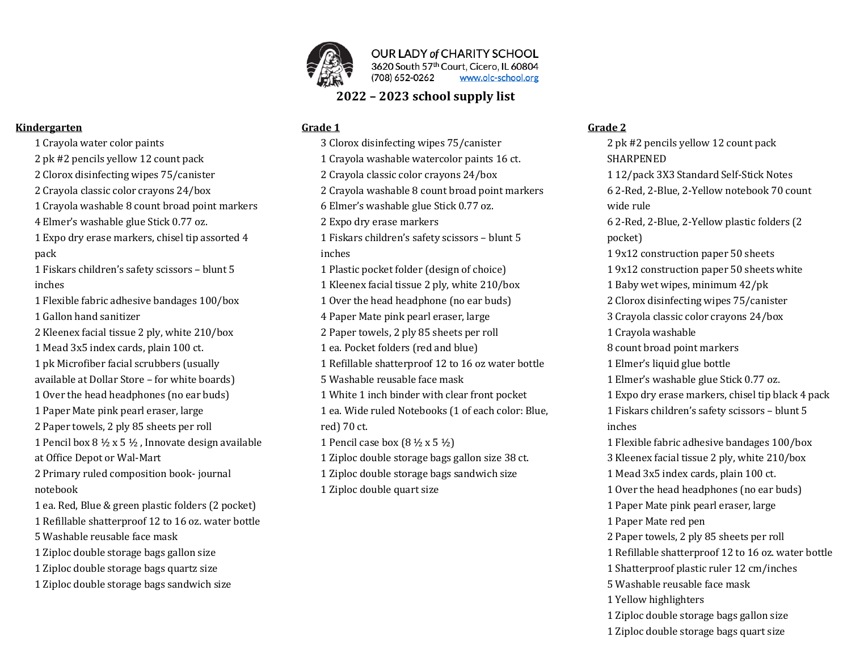

OUR LADY of CHARITY SCHOOL 3620 South 57th Court, Cicero, IL 60804 (708) 652-0262 www.olc-school.org

# **2022 – 2023 school supply list**

### Grade 1

1 Crayola water color paints 2 pk #2 pencils yellow 12 count pack 2 Clorox disinfecting wipes 75/canister 2 Crayola classic color crayons 24/box 1 Crayola washable 8 count broad point markers 4 Elmer's washable glue Stick 0.77 oz. 1 Expo dry erase markers, chisel tip assorted 4 1 Fiskars children's safety scissors - blunt 5 1 Flexible fabric adhesive bandages 100/box 1 Gallon hand sanitizer 2 Kleenex facial tissue 2 ply, white 210/box 1 Mead 3x5 index cards, plain 100 ct. 1 pk Microfiber facial scrubbers (usually available at Dollar Store - for white boards) 1 Over the head headphones (no ear buds) 1 Paper Mate pink pearl eraser, large 2 Paper towels, 2 ply 85 sheets per roll 1 Pencil box  $8\frac{1}{2}$  x 5  $\frac{1}{2}$ , Innovate design available at Office Depot or Wal-Mart 2 Primary ruled composition book-journal notebook 1 ea. Red, Blue & green plastic folders (2 pocket) 1 Refillable shatterproof 12 to 16 oz. water bottle 5 Washable reusable face mask 1 Ziploc double storage bags gallon size 1 Ziploc double storage bags quartz size 1 Ziploc double storage bags sandwich size

3 Clorox disinfecting wipes 75/canister 1 Crayola washable watercolor paints 16 ct. 2 Crayola classic color crayons 24/box 2 Crayola washable 8 count broad point markers 6 Elmer's washable glue Stick 0.77 oz. 2 Expo dry erase markers 1 Fiskars children's safety scissors - blunt 5 inches 1 Plastic pocket folder (design of choice) 1 Kleenex facial tissue 2 ply, white 210/box 1 Over the head headphone (no ear buds) 4 Paper Mate pink pearl eraser, large 2 Paper towels, 2 ply 85 sheets per roll 1 ea. Pocket folders (red and blue) 1 Refillable shatterproof 12 to 16 oz water bottle 5 Washable reusable face mask 1 White 1 inch binder with clear front pocket 1 ea. Wide ruled Notebooks (1 of each color: Blue, red) 70 ct. 1 Pencil case box  $(8 \frac{1}{2} \times 5 \frac{1}{2})$ 1 Ziploc double storage bags gallon size 38 ct. 1 Ziploc double storage bags sandwich size 1 Ziploc double quart size

### **Grade 2**

2 pk #2 pencils yellow 12 count pack SHARPENED 1 12/pack 3X3 Standard Self-Stick Notes 6 2-Red, 2-Blue, 2-Yellow notebook 70 count wide rule 6 2-Red, 2-Blue, 2-Yellow plastic folders (2 pocket) 1 9x12 construction paper 50 sheets 1 9x12 construction paper 50 sheets white 1 Baby wet wipes, minimum  $42$ /pk 2 Clorox disinfecting wipes 75/canister 3 Crayola classic color crayons 24/box 1 Crayola washable 8 count broad point markers 1 Elmer's liquid glue bottle 1 Elmer's washable glue Stick 0.77 oz. 1 Expo dry erase markers, chisel tip black 4 pack 1 Fiskars children's safety scissors - blunt 5 inches 1 Flexible fabric adhesive bandages 100/box 3 Kleenex facial tissue 2 ply, white 210/box 1 Mead 3x5 index cards, plain 100 ct. 1 Over the head headphones (no ear buds) 1 Paper Mate pink pearl eraser, large 1 Paper Mate red pen 2 Paper towels, 2 ply 85 sheets per roll 1 Refillable shatterproof 12 to 16 oz. water bottle 1 Shatterproof plastic ruler 12 cm/inches 5 Washable reusable face mask 1 Yellow highlighters 1 Ziploc double storage bags gallon size 1 Ziploc double storage bags quart size

## **Kindergarten**

pack

inches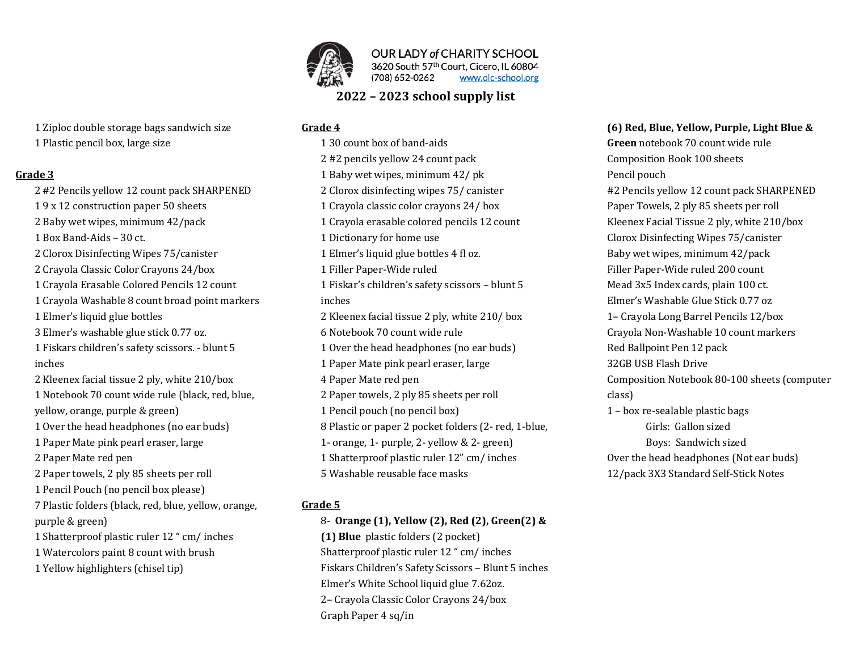

OUR LADY of CHARITY SCHOOL 3620 South 57th Court, Cicero, IL 60804 (708) 652-0262 www.olc-school.org

# **2022 – 2023 school supply list**

### Grade 4

1 30 count box of band-aids 2 #2 pencils yellow 24 count pack 1 Baby wet wipes, minimum 42/ pk 2 Clorox disinfecting wipes 75/ canister 1 Crayola classic color crayons 24/ box 1 Crayola erasable colored pencils 12 count 1 Dictionary for home use 1 Elmer's liquid glue bottles 4 fl oz. 1 Filler Paper-Wide ruled 1 Fiskar's children's safety scissors - blunt 5 inches 2 Kleenex facial tissue 2 ply, white 210/ box 6 Notebook 70 count wide rule 1 Over the head headphones (no ear buds) 1 Paper Mate pink pearl eraser, large 4 Paper Mate red pen 2 Paper towels, 2 ply 85 sheets per roll 1 Pencil pouch (no pencil box) 8 Plastic or paper 2 pocket folders (2- red, 1-blue, 1- orange, 1- purple, 2- yellow  $& 2$ - green) 1 Shatterproof plastic ruler 12" cm/ inches 5 Washable reusable face masks

### Grade 5

8- Orange (1), Yellow (2), Red (2), Green(2) & **(1) Blue** plastic folders (2 pocket) Shatterproof plastic ruler 12 " cm/ inches Fiskars Children's Safety Scissors - Blunt 5 inches Elmer's White School liquid glue 7.62oz. 2- Crayola Classic Color Crayons 24/box Graph Paper 4 sq/in

## **(6) Red, Blue, Yellow, Purple, Light Blue &**

**Green** notebook 70 count wide rule Composition Book 100 sheets Pencil pouch #2 Pencils yellow 12 count pack SHARPENED Paper Towels, 2 ply 85 sheets per roll Kleenex Facial Tissue 2 ply, white 210/box Clorox Disinfecting Wipes 75/canister Baby wet wipes, minimum 42/pack Filler Paper-Wide ruled 200 count Mead 3x5 Index cards, plain 100 ct. Elmer's Washable Glue Stick 0.77 oz 1- Crayola Long Barrel Pencils 12/box Crayola Non-Washable 10 count markers Red Ballpoint Pen 12 pack 32GB USB Flash Drive Composition Notebook 80-100 sheets (computer class)  $1 - box$  re-sealable plastic bags Girls: Gallon sized Boys: Sandwich sized Over the head headphones (Not ear buds) 12/pack 3X3 Standard Self-Stick Notes

- 1 Ziploc double storage bags sandwich size
- 1 Plastic pencil box, large size

### **Grade 3**

2 #2 Pencils yellow 12 count pack SHARPENED 19 x 12 construction paper 50 sheets 2 Baby wet wipes, minimum 42/pack 1 Box Band-Aids - 30 ct. 2 Clorox Disinfecting Wipes 75/canister 2 Crayola Classic Color Crayons 24/box 1 Crayola Erasable Colored Pencils 12 count 1 Crayola Washable 8 count broad point markers 1 Elmer's liquid glue bottles 3 Elmer's washable glue stick 0.77 oz. 1 Fiskars children's safety scissors. - blunt 5 inches 2 Kleenex facial tissue 2 ply, white 210/box 1 Notebook 70 count wide rule (black, red, blue, yellow, orange, purple & green) 1 Over the head headphones (no ear buds) 1 Paper Mate pink pearl eraser, large 2 Paper Mate red pen 2 Paper towels, 2 ply 85 sheets per roll 1 Pencil Pouch (no pencil box please) 7 Plastic folders (black, red, blue, yellow, orange, purple & green) 1 Shatterproof plastic ruler 12 " cm/ inches 1 Watercolors paint 8 count with brush 1 Yellow highlighters (chisel tip)